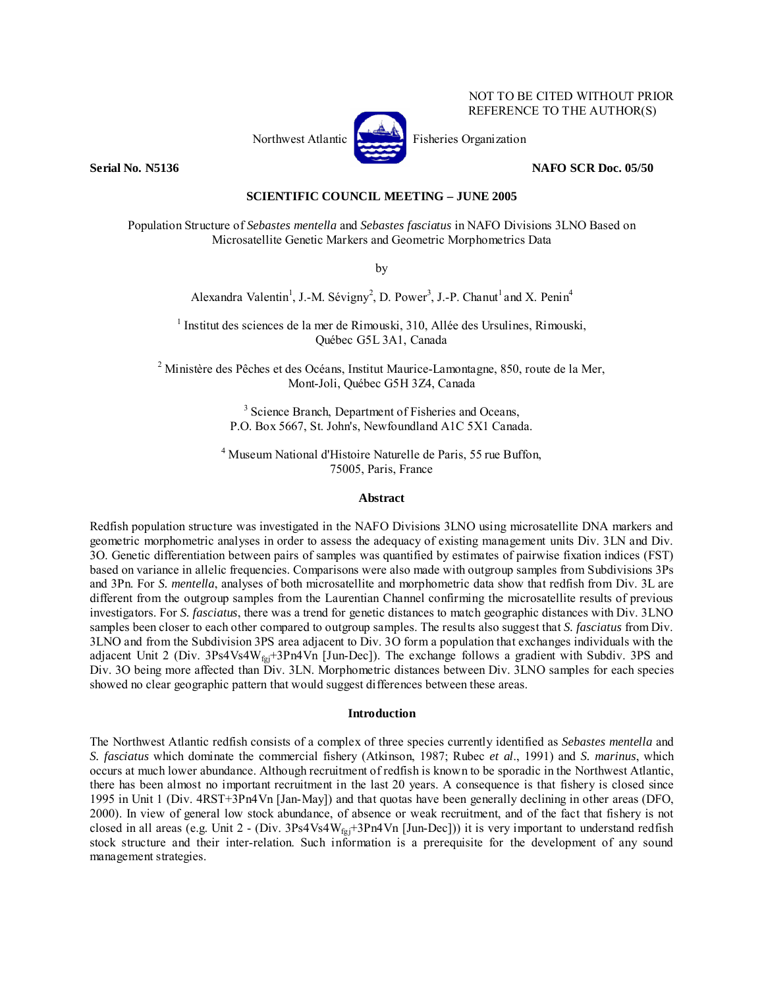

NOT TO BE CITED WITHOUT PRIOR REFERENCE TO THE AUTHOR(S)

**Serial No. N5136 NAFO SCR Doc. 05/50** 

**SCIENTIFIC COUNCIL MEETING – JUNE 2005** 

Population Structure of *Sebastes mentella* and *Sebastes fasciatus* in NAFO Divisions 3LNO Based on Microsatellite Genetic Markers and Geometric Morphometrics Data

by

Alexandra Valentin<sup>1</sup>, J.-M. Sévigny<sup>2</sup>, D. Power<sup>3</sup>, J.-P. Chanut<sup>1</sup> and X. Penin<sup>4</sup>

<sup>1</sup> Institut des sciences de la mer de Rimouski, 310, Allée des Ursulines, Rimouski, Québec G5L 3A1, Canada

<sup>2</sup> Ministère des Pêches et des Océans, Institut Maurice-Lamontagne, 850, route de la Mer, Mont-Joli, Québec G5H 3Z4, Canada

> <sup>3</sup> Science Branch, Department of Fisheries and Oceans, P.O. Box 5667, St. John's, Newfoundland A1C 5X1 Canada.

4 Museum National d'Histoire Naturelle de Paris, 55 rue Buffon, 75005, Paris, France

#### **Abstract**

Redfish population structure was investigated in the NAFO Divisions 3LNO using microsatellite DNA markers and geometric morphometric analyses in order to assess the adequacy of existing management units Div. 3LN and Div. 3O. Genetic differentiation between pairs of samples was quantified by estimates of pairwise fixation indices (FST) based on variance in allelic frequencies. Comparisons were also made with outgroup samples from Subdivisions 3Ps and 3Pn. For *S. mentella*, analyses of both microsatellite and morphometric data show that redfish from Div. 3L are different from the outgroup samples from the Laurentian Channel confirming the microsatellite results of previous investigators. For *S. fasciatus*, there was a trend for genetic distances to match geographic distances with Div. 3LNO samples been closer to each other compared to outgroup samples. The results also suggest that *S. fasciatus* from Div. 3LNO and from the Subdivision 3PS area adjacent to Div. 3O form a population that exchanges individuals with the adjacent Unit 2 (Div. 3Ps4Vs4W<sub>fgj</sub>+3Pn4Vn [Jun-Dec]). The exchange follows a gradient with Subdiv. 3PS and Div. 3O being more affected than Div. 3LN. Morphometric distances between Div. 3LNO samples for each species showed no clear geographic pattern that would suggest differences between these areas.

#### **Introduction**

The Northwest Atlantic redfish consists of a complex of three species currently identified as *Sebastes mentella* and *S. fasciatus* which dominate the commercial fishery (Atkinson, 1987; Rubec *et al*., 1991) and *S. marinus*, which occurs at much lower abundance. Although recruitment of redfish is known to be sporadic in the Northwest Atlantic, there has been almost no important recruitment in the last 20 years. A consequence is that fishery is closed since 1995 in Unit 1 (Div. 4RST+3Pn4Vn [Jan-May]) and that quotas have been generally declining in other areas (DFO, 2000). In view of general low stock abundance, of absence or weak recruitment, and of the fact that fishery is not closed in all areas (e.g. Unit 2 - (Div. 3Ps4Vs4W<sub>fgi</sub>+3Pn4Vn [Jun-Dec])) it is very important to understand redfish stock structure and their inter-relation. Such information is a prerequisite for the development of any sound management strategies.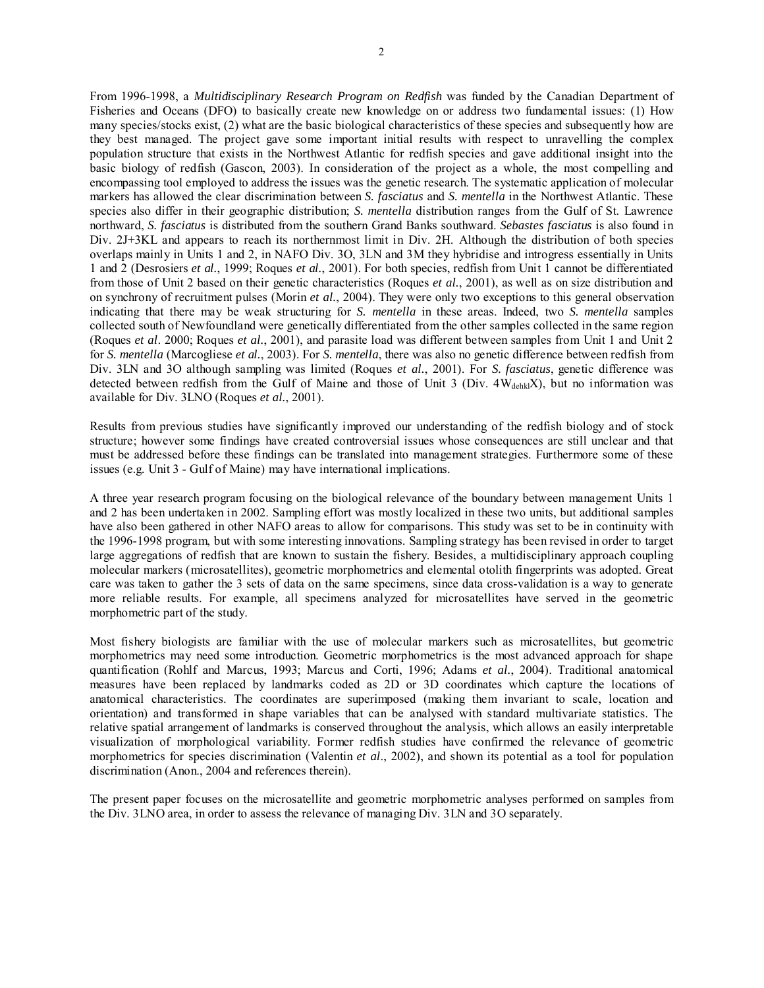From 1996-1998, a *Multidisciplinary Research Program on Redfish* was funded by the Canadian Department of Fisheries and Oceans (DFO) to basically create new knowledge on or address two fundamental issues: (1) How many species/stocks exist, (2) what are the basic biological characteristics of these species and subsequently how are they best managed. The project gave some important initial results with respect to unravelling the complex population structure that exists in the Northwest Atlantic for redfish species and gave additional insight into the basic biology of redfish (Gascon, 2003). In consideration of the project as a whole, the most compelling and encompassing tool employed to address the issues was the genetic research. The systematic application of molecular markers has allowed the clear discrimination between *S. fasciatus* and *S. mentella* in the Northwest Atlantic. These species also differ in their geographic distribution; *S. mentella* distribution ranges from the Gulf of St. Lawrence northward, *S. fasciatus* is distributed from the southern Grand Banks southward. *Sebastes fasciatus* is also found in Div. 2J+3KL and appears to reach its northernmost limit in Div. 2H. Although the distribution of both species overlaps mainly in Units 1 and 2, in NAFO Div. 3O, 3LN and 3M they hybridise and introgress essentially in Units 1 and 2 (Desrosiers *et al.*, 1999; Roques *et al.*, 2001). For both species, redfish from Unit 1 cannot be differentiated from those of Unit 2 based on their genetic characteristics (Roques *et al.*, 2001), as well as on size distribution and on synchrony of recruitment pulses (Morin *et al.*, 2004). They were only two exceptions to this general observation indicating that there may be weak structuring for *S. mentella* in these areas. Indeed, two *S. mentella* samples collected south of Newfoundland were genetically differentiated from the other samples collected in the same region (Roques *et al*. 2000; Roques *et al.*, 2001), and parasite load was different between samples from Unit 1 and Unit 2 for *S. mentella* (Marcogliese *et al.*, 2003). For *S. mentella*, there was also no genetic difference between redfish from Div. 3LN and 3O although sampling was limited (Roques *et al.*, 2001). For *S. fasciatus*, genetic difference was detected between redfish from the Gulf of Maine and those of Unit 3 (Div. 4W<sub>dehkl</sub>X), but no information was available for Div. 3LNO (Roques *et al.*, 2001).

Results from previous studies have significantly improved our understanding of the redfish biology and of stock structure; however some findings have created controversial issues whose consequences are still unclear and that must be addressed before these findings can be translated into management strategies. Furthermore some of these issues (e.g. Unit 3 - Gulf of Maine) may have international implications.

A three year research program focusing on the biological relevance of the boundary between management Units 1 and 2 has been undertaken in 2002. Sampling effort was mostly localized in these two units, but additional samples have also been gathered in other NAFO areas to allow for comparisons. This study was set to be in continuity with the 1996-1998 program, but with some interesting innovations. Sampling strategy has been revised in order to target large aggregations of redfish that are known to sustain the fishery. Besides, a multidisciplinary approach coupling molecular markers (microsatellites), geometric morphometrics and elemental otolith fingerprints was adopted. Great care was taken to gather the 3 sets of data on the same specimens, since data cross-validation is a way to generate more reliable results. For example, all specimens analyzed for microsatellites have served in the geometric morphometric part of the study.

Most fishery biologists are familiar with the use of molecular markers such as microsatellites, but geometric morphometrics may need some introduction. Geometric morphometrics is the most advanced approach for shape quantification (Rohlf and Marcus, 1993; Marcus and Corti, 1996; Adams *et al.*, 2004). Traditional anatomical measures have been replaced by landmarks coded as 2D or 3D coordinates which capture the locations of anatomical characteristics. The coordinates are superimposed (making them invariant to scale, location and orientation) and transformed in shape variables that can be analysed with standard multivariate statistics. The relative spatial arrangement of landmarks is conserved throughout the analysis, which allows an easily interpretable visualization of morphological variability. Former redfish studies have confirmed the relevance of geometric morphometrics for species discrimination (Valentin *et al*., 2002), and shown its potential as a tool for population discrimination (Anon., 2004 and references therein).

The present paper focuses on the microsatellite and geometric morphometric analyses performed on samples from the Div. 3LNO area, in order to assess the relevance of managing Div. 3LN and 3O separately.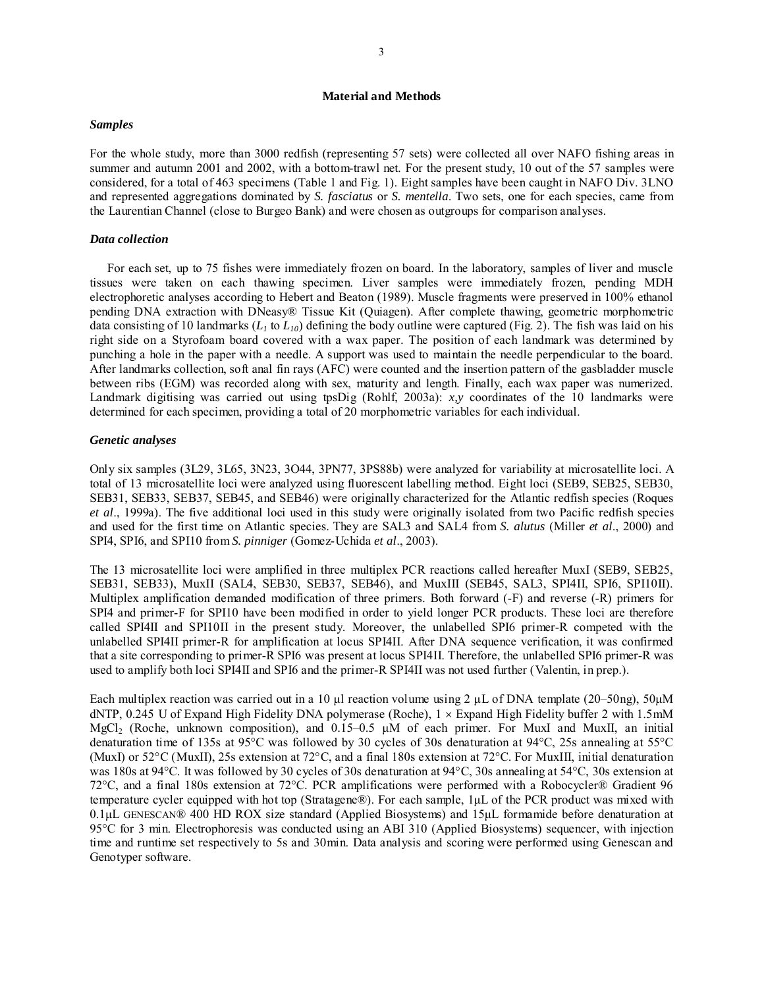## **Material and Methods**

#### *Samples*

For the whole study, more than 3000 redfish (representing 57 sets) were collected all over NAFO fishing areas in summer and autumn 2001 and 2002, with a bottom-trawl net. For the present study, 10 out of the 57 samples were considered, for a total of 463 specimens (Table 1 and Fig. 1). Eight samples have been caught in NAFO Div. 3LNO and represented aggregations dominated by *S. fasciatus* or *S. mentella*. Two sets, one for each species, came from the Laurentian Channel (close to Burgeo Bank) and were chosen as outgroups for comparison analyses.

### *Data collection*

For each set, up to 75 fishes were immediately frozen on board. In the laboratory, samples of liver and muscle tissues were taken on each thawing specimen. Liver samples were immediately frozen, pending MDH electrophoretic analyses according to Hebert and Beaton (1989). Muscle fragments were preserved in 100% ethanol pending DNA extraction with DNeasy® Tissue Kit (Quiagen). After complete thawing, geometric morphometric data consisting of 10 landmarks  $(L_1 \text{ to } L_{10})$  defining the body outline were captured (Fig. 2). The fish was laid on his right side on a Styrofoam board covered with a wax paper. The position of each landmark was determined by punching a hole in the paper with a needle. A support was used to maintain the needle perpendicular to the board. After landmarks collection, soft anal fin rays (AFC) were counted and the insertion pattern of the gasbladder muscle between ribs (EGM) was recorded along with sex, maturity and length. Finally, each wax paper was numerized. Landmark digitising was carried out using tpsDig (Rohlf, 2003a): *x,y* coordinates of the 10 landmarks were determined for each specimen, providing a total of 20 morphometric variables for each individual.

### *Genetic analyses*

Only six samples (3L29, 3L65, 3N23, 3O44, 3PN77, 3PS88b) were analyzed for variability at microsatellite loci. A total of 13 microsatellite loci were analyzed using fluorescent labelling method. Eight loci (SEB9, SEB25, SEB30, SEB31, SEB33, SEB37, SEB45, and SEB46) were originally characterized for the Atlantic redfish species (Roques *et al*., 1999a). The five additional loci used in this study were originally isolated from two Pacific redfish species and used for the first time on Atlantic species. They are SAL3 and SAL4 from *S. alutus* (Miller *et al*., 2000) and SPI4, SPI6, and SPI10 from *S. pinniger* (Gomez-Uchida *et al*., 2003).

The 13 microsatellite loci were amplified in three multiplex PCR reactions called hereafter MuxI (SEB9, SEB25, SEB31, SEB33), MuxII (SAL4, SEB30, SEB37, SEB46), and MuxIII (SEB45, SAL3, SPI4II, SPI6, SPI10II). Multiplex amplification demanded modification of three primers. Both forward (-F) and reverse (-R) primers for SPI4 and primer-F for SPI10 have been modified in order to yield longer PCR products. These loci are therefore called SPI4II and SPI10II in the present study. Moreover, the unlabelled SPI6 primer-R competed with the unlabelled SPI4II primer-R for amplification at locus SPI4II. After DNA sequence verification, it was confirmed that a site corresponding to primer-R SPI6 was present at locus SPI4II. Therefore, the unlabelled SPI6 primer-R was used to amplify both loci SPI4II and SPI6 and the primer-R SPI4II was not used further (Valentin, in prep.).

Each multiplex reaction was carried out in a 10 μl reaction volume using 2 μL of DNA template (20–50ng), 50μM dNTP, 0.245 U of Expand High Fidelity DNA polymerase (Roche),  $1 \times$  Expand High Fidelity buffer 2 with 1.5mM MgCl<sub>2</sub> (Roche, unknown composition), and 0.15–0.5  $\mu$ M of each primer. For MuxI and MuxII, an initial denaturation time of 135s at 95°C was followed by 30 cycles of 30s denaturation at 94°C, 25s annealing at 55°C (MuxI) or 52°C (MuxII), 25s extension at 72°C, and a final 180s extension at 72°C. For MuxIII, initial denaturation was 180s at 94°C. It was followed by 30 cycles of 30s denaturation at 94°C, 30s annealing at 54°C, 30s extension at 72°C, and a final 180s extension at 72°C. PCR amplifications were performed with a Robocycler® Gradient 96 temperature cycler equipped with hot top (Stratagene®). For each sample, 1μL of the PCR product was mixed with 0.1μL GENESCAN® 400 HD ROX size standard (Applied Biosystems) and 15μL formamide before denaturation at 95°C for 3 min. Electrophoresis was conducted using an ABI 310 (Applied Biosystems) sequencer, with injection time and runtime set respectively to 5s and 30min. Data analysis and scoring were performed using Genescan and Genotyper software.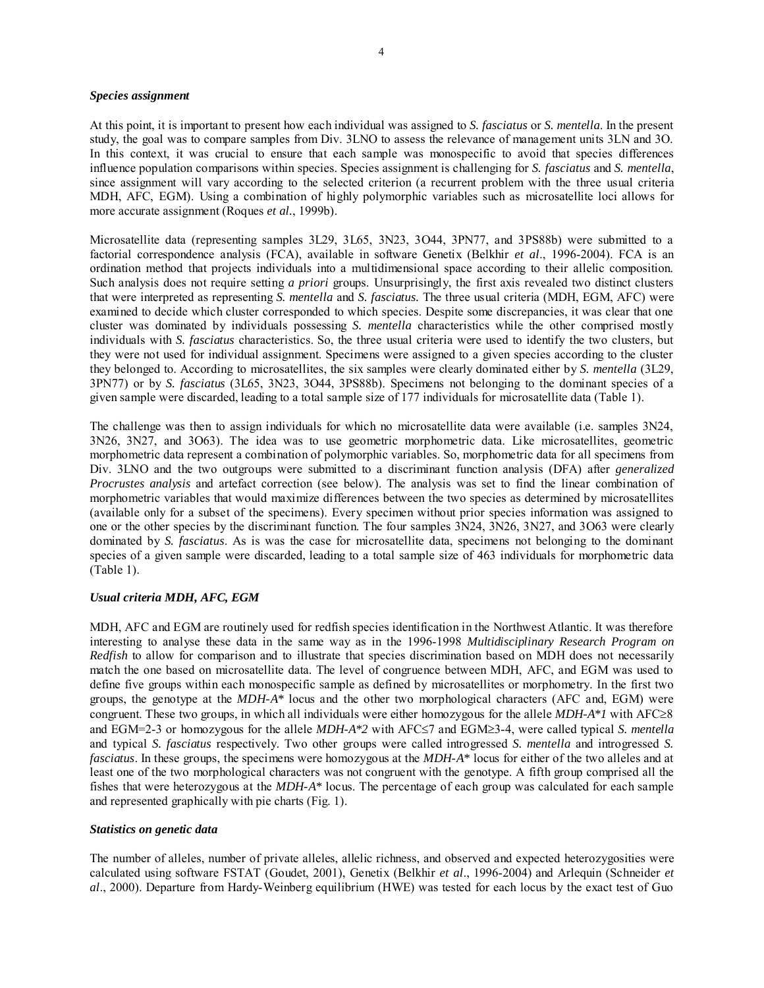### *Species assignment*

At this point, it is important to present how each individual was assigned to *S. fasciatus* or *S. mentella*. In the present study, the goal was to compare samples from Div. 3LNO to assess the relevance of management units 3LN and 3O. In this context, it was crucial to ensure that each sample was monospecific to avoid that species differences influence population comparisons within species. Species assignment is challenging for *S. fasciatus* and *S. mentella*, since assignment will vary according to the selected criterion (a recurrent problem with the three usual criteria MDH, AFC, EGM). Using a combination of highly polymorphic variables such as microsatellite loci allows for more accurate assignment (Roques *et al.*, 1999b).

Microsatellite data (representing samples 3L29, 3L65, 3N23, 3O44, 3PN77, and 3PS88b) were submitted to a factorial correspondence analysis (FCA), available in software Genetix (Belkhir *et al*., 1996-2004). FCA is an ordination method that projects individuals into a multidimensional space according to their allelic composition. Such analysis does not require setting *a priori* groups. Unsurprisingly, the first axis revealed two distinct clusters that were interpreted as representing *S. mentella* and *S. fasciatus.* The three usual criteria (MDH, EGM, AFC) were examined to decide which cluster corresponded to which species. Despite some discrepancies, it was clear that one cluster was dominated by individuals possessing *S. mentella* characteristics while the other comprised mostly individuals with *S. fasciatus* characteristics. So, the three usual criteria were used to identify the two clusters, but they were not used for individual assignment. Specimens were assigned to a given species according to the cluster they belonged to. According to microsatellites, the six samples were clearly dominated either by *S. mentella* (3L29, 3PN77) or by *S. fasciatus* (3L65, 3N23, 3O44, 3PS88b). Specimens not belonging to the dominant species of a given sample were discarded, leading to a total sample size of 177 individuals for microsatellite data (Table 1).

The challenge was then to assign individuals for which no microsatellite data were available (i.e. samples 3N24, 3N26, 3N27, and 3O63). The idea was to use geometric morphometric data. Like microsatellites, geometric morphometric data represent a combination of polymorphic variables. So, morphometric data for all specimens from Div. 3LNO and the two outgroups were submitted to a discriminant function analysis (DFA) after *generalized Procrustes analysis* and artefact correction (see below). The analysis was set to find the linear combination of morphometric variables that would maximize differences between the two species as determined by microsatellites (available only for a subset of the specimens). Every specimen without prior species information was assigned to one or the other species by the discriminant function. The four samples 3N24, 3N26, 3N27, and 3O63 were clearly dominated by *S. fasciatus*. As is was the case for microsatellite data, specimens not belonging to the dominant species of a given sample were discarded, leading to a total sample size of 463 individuals for morphometric data (Table 1).

## *Usual criteria MDH, AFC, EGM*

MDH, AFC and EGM are routinely used for redfish species identification in the Northwest Atlantic. It was therefore interesting to analyse these data in the same way as in the 1996-1998 *Multidisciplinary Research Program on Redfish* to allow for comparison and to illustrate that species discrimination based on MDH does not necessarily match the one based on microsatellite data. The level of congruence between MDH, AFC, and EGM was used to define five groups within each monospecific sample as defined by microsatellites or morphometry. In the first two groups, the genotype at the *MDH-A\** locus and the other two morphological characters (AFC and, EGM) were congruent. These two groups, in which all individuals were either homozygous for the allele *MDH-A\*1* with AFC≥8 and EGM=2-3 or homozygous for the allele *MDH-A\*2* with AFC≤7 and EGM≥3-4, were called typical *S. mentella* and typical *S. fasciatus* respectively. Two other groups were called introgressed *S. mentella* and introgressed *S. fasciatus*. In these groups, the specimens were homozygous at the *MDH-A\** locus for either of the two alleles and at least one of the two morphological characters was not congruent with the genotype. A fifth group comprised all the fishes that were heterozygous at the *MDH-A\** locus. The percentage of each group was calculated for each sample and represented graphically with pie charts (Fig. 1).

#### *Statistics on genetic data*

The number of alleles, number of private alleles, allelic richness, and observed and expected heterozygosities were calculated using software FSTAT (Goudet, 2001), Genetix (Belkhir *et al*., 1996-2004) and Arlequin (Schneider *et al*., 2000). Departure from Hardy-Weinberg equilibrium (HWE) was tested for each locus by the exact test of Guo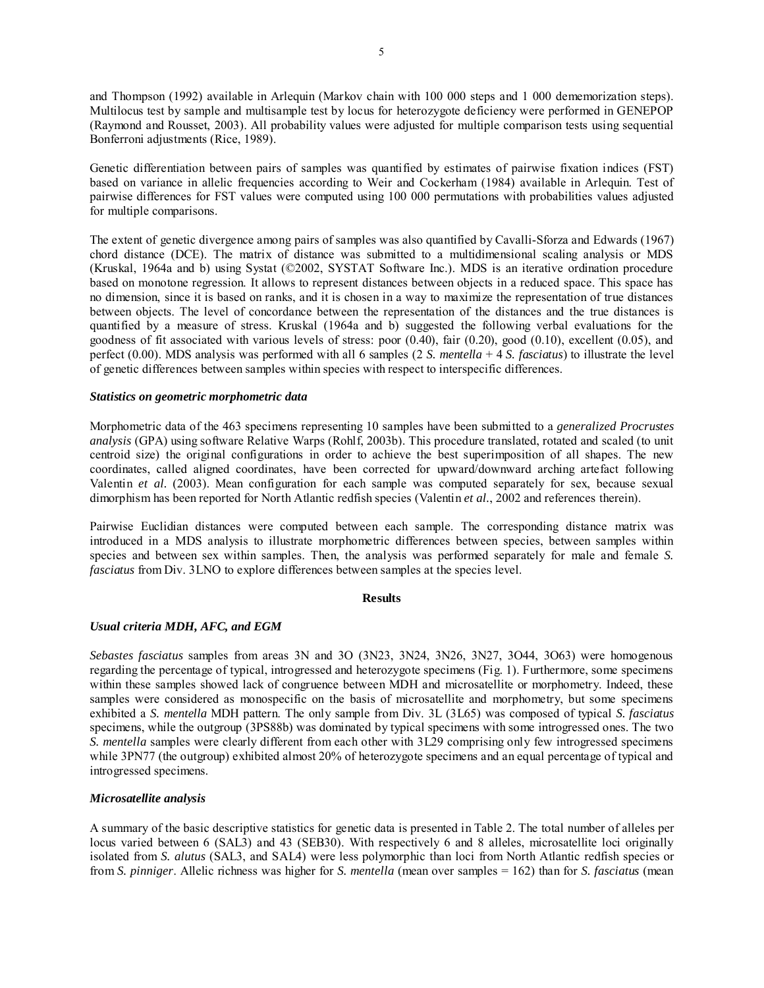and Thompson (1992) available in Arlequin (Markov chain with 100 000 steps and 1 000 dememorization steps). Multilocus test by sample and multisample test by locus for heterozygote deficiency were performed in GENEPOP (Raymond and Rousset, 2003). All probability values were adjusted for multiple comparison tests using sequential Bonferroni adjustments (Rice, 1989).

Genetic differentiation between pairs of samples was quantified by estimates of pairwise fixation indices (FST) based on variance in allelic frequencies according to Weir and Cockerham (1984) available in Arlequin. Test of pairwise differences for FST values were computed using 100 000 permutations with probabilities values adjusted for multiple comparisons.

The extent of genetic divergence among pairs of samples was also quantified by Cavalli-Sforza and Edwards (1967) chord distance (DCE). The matrix of distance was submitted to a multidimensional scaling analysis or MDS (Kruskal, 1964a and b) using Systat (©2002, SYSTAT Software Inc.). MDS is an iterative ordination procedure based on monotone regression. It allows to represent distances between objects in a reduced space. This space has no dimension, since it is based on ranks, and it is chosen in a way to maximize the representation of true distances between objects. The level of concordance between the representation of the distances and the true distances is quantified by a measure of stress. Kruskal (1964a and b) suggested the following verbal evaluations for the goodness of fit associated with various levels of stress: poor (0.40), fair (0.20), good (0.10), excellent (0.05), and perfect (0.00). MDS analysis was performed with all 6 samples (2 *S. mentella* + 4 *S. fasciatus*) to illustrate the level of genetic differences between samples within species with respect to interspecific differences.

## *Statistics on geometric morphometric data*

Morphometric data of the 463 specimens representing 10 samples have been submitted to a *generalized Procrustes analysis* (GPA) using software Relative Warps (Rohlf, 2003b). This procedure translated, rotated and scaled (to unit centroid size) the original configurations in order to achieve the best superimposition of all shapes. The new coordinates, called aligned coordinates, have been corrected for upward/downward arching artefact following Valentin *et al.* (2003). Mean configuration for each sample was computed separately for sex, because sexual dimorphism has been reported for North Atlantic redfish species (Valentin *et al.*, 2002 and references therein).

Pairwise Euclidian distances were computed between each sample. The corresponding distance matrix was introduced in a MDS analysis to illustrate morphometric differences between species, between samples within species and between sex within samples. Then, the analysis was performed separately for male and female *S. fasciatus* from Div. 3LNO to explore differences between samples at the species level.

#### **Results**

## *Usual criteria MDH, AFC, and EGM*

*Sebastes fasciatus* samples from areas 3N and 3O (3N23, 3N24, 3N26, 3N27, 3O44, 3O63) were homogenous regarding the percentage of typical, introgressed and heterozygote specimens (Fig. 1). Furthermore, some specimens within these samples showed lack of congruence between MDH and microsatellite or morphometry. Indeed, these samples were considered as monospecific on the basis of microsatellite and morphometry, but some specimens exhibited a *S. mentella* MDH pattern. The only sample from Div. 3L (3L65) was composed of typical *S. fasciatus*  specimens, while the outgroup (3PS88b) was dominated by typical specimens with some introgressed ones. The two *S. mentella* samples were clearly different from each other with 3L29 comprising only few introgressed specimens while 3PN77 (the outgroup) exhibited almost 20% of heterozygote specimens and an equal percentage of typical and introgressed specimens.

## *Microsatellite analysis*

A summary of the basic descriptive statistics for genetic data is presented in Table 2. The total number of alleles per locus varied between 6 (SAL3) and 43 (SEB30). With respectively 6 and 8 alleles, microsatellite loci originally isolated from *S. alutus* (SAL3, and SAL4) were less polymorphic than loci from North Atlantic redfish species or from *S. pinniger*. Allelic richness was higher for *S. mentella* (mean over samples = 162) than for *S. fasciatus* (mean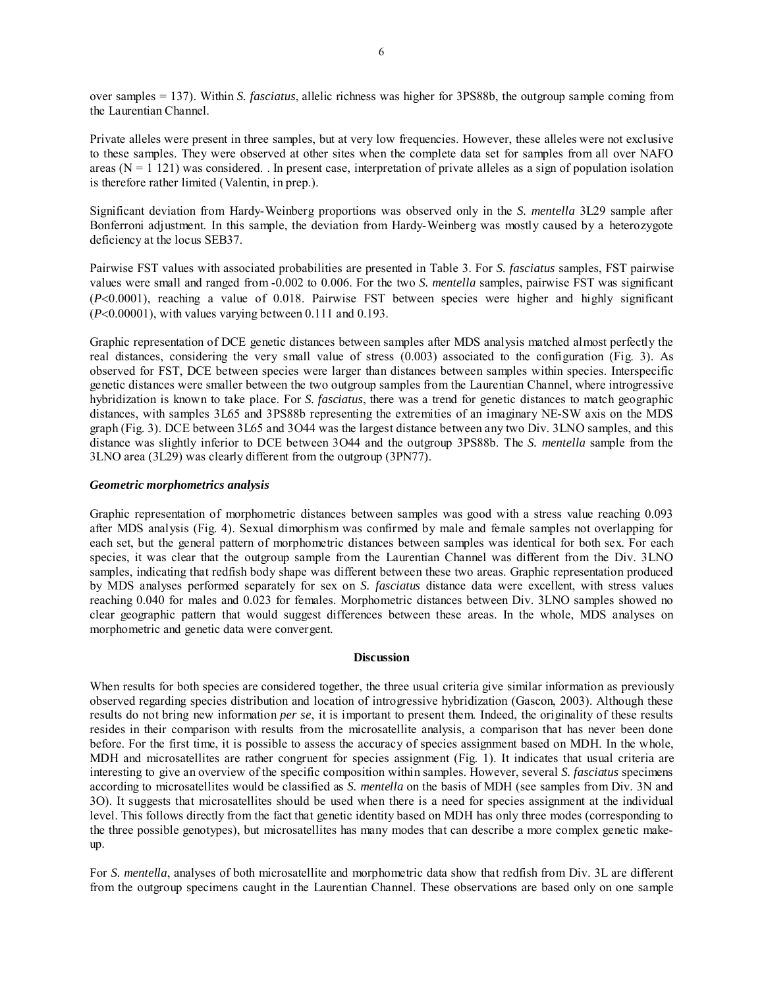over samples = 137). Within *S. fasciatus*, allelic richness was higher for 3PS88b, the outgroup sample coming from the Laurentian Channel.

Private alleles were present in three samples, but at very low frequencies. However, these alleles were not exclusive to these samples. They were observed at other sites when the complete data set for samples from all over NAFO areas  $(N = 1 121)$  was considered. In present case, interpretation of private alleles as a sign of population isolation is therefore rather limited (Valentin, in prep.).

Significant deviation from Hardy-Weinberg proportions was observed only in the *S. mentella* 3L29 sample after Bonferroni adjustment. In this sample, the deviation from Hardy-Weinberg was mostly caused by a heterozygote deficiency at the locus SEB37.

Pairwise FST values with associated probabilities are presented in Table 3. For *S. fasciatus* samples, FST pairwise values were small and ranged from -0.002 to 0.006. For the two *S. mentella* samples, pairwise FST was significant (*P*<0.0001), reaching a value of 0.018. Pairwise FST between species were higher and highly significant (*P*<0.00001), with values varying between 0.111 and 0.193.

Graphic representation of DCE genetic distances between samples after MDS analysis matched almost perfectly the real distances, considering the very small value of stress (0.003) associated to the configuration (Fig. 3). As observed for FST, DCE between species were larger than distances between samples within species. Interspecific genetic distances were smaller between the two outgroup samples from the Laurentian Channel, where introgressive hybridization is known to take place. For *S. fasciatus*, there was a trend for genetic distances to match geographic distances, with samples 3L65 and 3PS88b representing the extremities of an imaginary NE-SW axis on the MDS graph (Fig. 3). DCE between 3L65 and 3O44 was the largest distance between any two Div. 3LNO samples, and this distance was slightly inferior to DCE between 3O44 and the outgroup 3PS88b. The *S. mentella* sample from the 3LNO area (3L29) was clearly different from the outgroup (3PN77).

## *Geometric morphometrics analysis*

Graphic representation of morphometric distances between samples was good with a stress value reaching 0.093 after MDS analysis (Fig. 4). Sexual dimorphism was confirmed by male and female samples not overlapping for each set, but the general pattern of morphometric distances between samples was identical for both sex. For each species, it was clear that the outgroup sample from the Laurentian Channel was different from the Div. 3LNO samples, indicating that redfish body shape was different between these two areas. Graphic representation produced by MDS analyses performed separately for sex on *S. fasciatus* distance data were excellent, with stress values reaching 0.040 for males and 0.023 for females. Morphometric distances between Div. 3LNO samples showed no clear geographic pattern that would suggest differences between these areas. In the whole, MDS analyses on morphometric and genetic data were convergent.

# **Discussion**

When results for both species are considered together, the three usual criteria give similar information as previously observed regarding species distribution and location of introgressive hybridization (Gascon, 2003). Although these results do not bring new information *per se*, it is important to present them. Indeed, the originality of these results resides in their comparison with results from the microsatellite analysis, a comparison that has never been done before. For the first time, it is possible to assess the accuracy of species assignment based on MDH. In the whole, MDH and microsatellites are rather congruent for species assignment (Fig. 1). It indicates that usual criteria are interesting to give an overview of the specific composition within samples. However, several *S. fasciatus* specimens according to microsatellites would be classified as *S. mentella* on the basis of MDH (see samples from Div. 3N and 3O). It suggests that microsatellites should be used when there is a need for species assignment at the individual level. This follows directly from the fact that genetic identity based on MDH has only three modes (corresponding to the three possible genotypes), but microsatellites has many modes that can describe a more complex genetic makeup.

For *S. mentella*, analyses of both microsatellite and morphometric data show that redfish from Div. 3L are different from the outgroup specimens caught in the Laurentian Channel. These observations are based only on one sample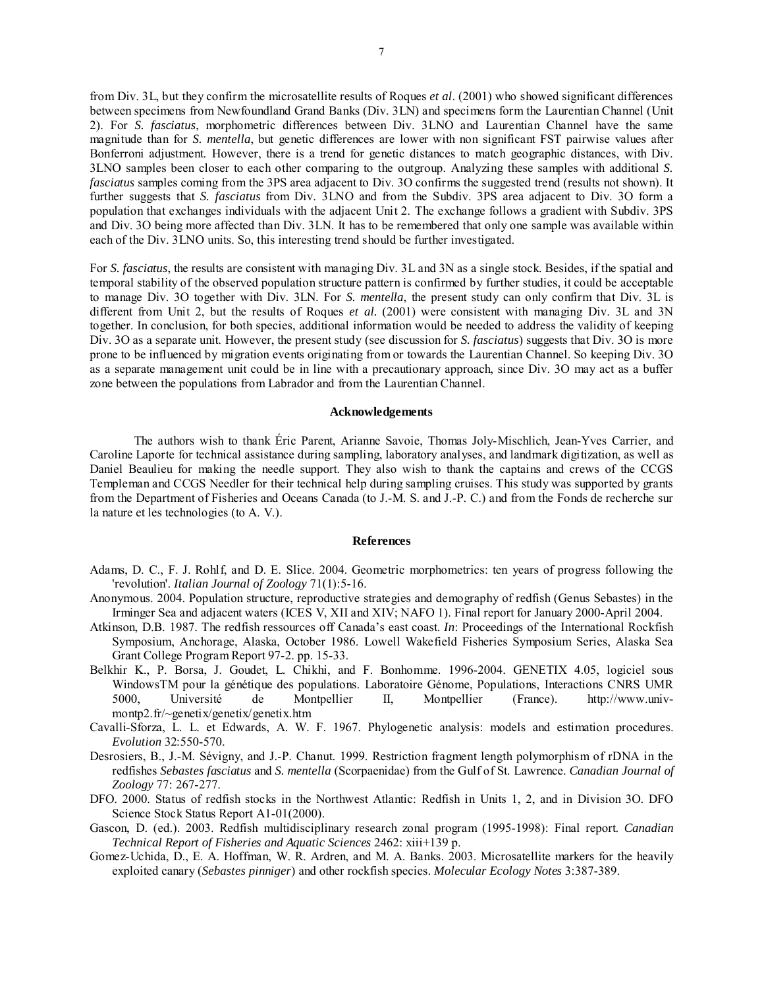from Div. 3L, but they confirm the microsatellite results of Roques *et al*. (2001) who showed significant differences between specimens from Newfoundland Grand Banks (Div. 3LN) and specimens form the Laurentian Channel (Unit 2). For *S. fasciatus*, morphometric differences between Div. 3LNO and Laurentian Channel have the same magnitude than for *S. mentella*, but genetic differences are lower with non significant FST pairwise values after Bonferroni adjustment. However, there is a trend for genetic distances to match geographic distances, with Div. 3LNO samples been closer to each other comparing to the outgroup. Analyzing these samples with additional *S. fasciatus* samples coming from the 3PS area adjacent to Div. 3O confirms the suggested trend (results not shown). It further suggests that *S. fasciatus* from Div. 3LNO and from the Subdiv. 3PS area adjacent to Div. 3O form a population that exchanges individuals with the adjacent Unit 2. The exchange follows a gradient with Subdiv. 3PS and Div. 3O being more affected than Div. 3LN. It has to be remembered that only one sample was available within each of the Div. 3LNO units. So, this interesting trend should be further investigated.

For *S. fasciatus*, the results are consistent with managing Div. 3L and 3N as a single stock. Besides, if the spatial and temporal stability of the observed population structure pattern is confirmed by further studies, it could be acceptable to manage Div. 3O together with Div. 3LN. For *S. mentella*, the present study can only confirm that Div. 3L is different from Unit 2, but the results of Roques *et al.* (2001) were consistent with managing Div. 3L and 3N together. In conclusion, for both species, additional information would be needed to address the validity of keeping Div. 3O as a separate unit. However, the present study (see discussion for *S. fasciatus*) suggests that Div. 3O is more prone to be influenced by migration events originating from or towards the Laurentian Channel. So keeping Div. 3O as a separate management unit could be in line with a precautionary approach, since Div. 3O may act as a buffer zone between the populations from Labrador and from the Laurentian Channel.

## **Acknowledgements**

 The authors wish to thank Éric Parent, Arianne Savoie, Thomas Joly-Mischlich, Jean-Yves Carrier, and Caroline Laporte for technical assistance during sampling, laboratory analyses, and landmark digitization, as well as Daniel Beaulieu for making the needle support. They also wish to thank the captains and crews of the CCGS Templeman and CCGS Needler for their technical help during sampling cruises. This study was supported by grants from the Department of Fisheries and Oceans Canada (to J.-M. S. and J.-P. C.) and from the Fonds de recherche sur la nature et les technologies (to A. V.).

#### **References**

- Adams, D. C., F. J. Rohlf, and D. E. Slice. 2004. Geometric morphometrics: ten years of progress following the 'revolution'. *Italian Journal of Zoology* 71(1):5-16.
- Anonymous. 2004. Population structure, reproductive strategies and demography of redfish (Genus Sebastes) in the Irminger Sea and adjacent waters (ICES V, XII and XIV; NAFO 1). Final report for January 2000-April 2004.
- Atkinson, D.B. 1987. The redfish ressources off Canada's east coast. *In*: Proceedings of the International Rockfish Symposium, Anchorage, Alaska, October 1986. Lowell Wakefield Fisheries Symposium Series, Alaska Sea Grant College Program Report 97-2. pp. 15-33.
- Belkhir K., P. Borsa, J. Goudet, L. Chikhi, and F. Bonhomme. 1996-2004. GENETIX 4.05, logiciel sous WindowsTM pour la génétique des populations. Laboratoire Génome, Populations, Interactions CNRS UMR 5000, Université de Montpellier II, Montpellier (France). http://www.univmontp2.fr/~genetix/genetix/genetix.htm
- Cavalli-Sforza, L. L. et Edwards, A. W. F. 1967. Phylogenetic analysis: models and estimation procedures. *Evolution* 32:550-570.
- Desrosiers, B., J.-M. Sévigny, and J.-P. Chanut. 1999. Restriction fragment length polymorphism of rDNA in the redfishes *Sebastes fasciatus* and *S. mentella* (Scorpaenidae) from the Gulf of St. Lawrence. *Canadian Journal of Zoology* 77: 267-277.
- DFO. 2000. Status of redfish stocks in the Northwest Atlantic: Redfish in Units 1, 2, and in Division 3O. DFO Science Stock Status Report A1-01(2000).
- Gascon, D. (ed.). 2003. Redfish multidisciplinary research zonal program (1995-1998): Final report. *Canadian Technical Report of Fisheries and Aquatic Sciences* 2462: xiii+139 p.
- Gomez-Uchida, D., E. A. Hoffman, W. R. Ardren, and M. A. Banks. 2003. Microsatellite markers for the heavily exploited canary (*Sebastes pinniger*) and other rockfish species. *Molecular Ecology Notes* 3:387-389.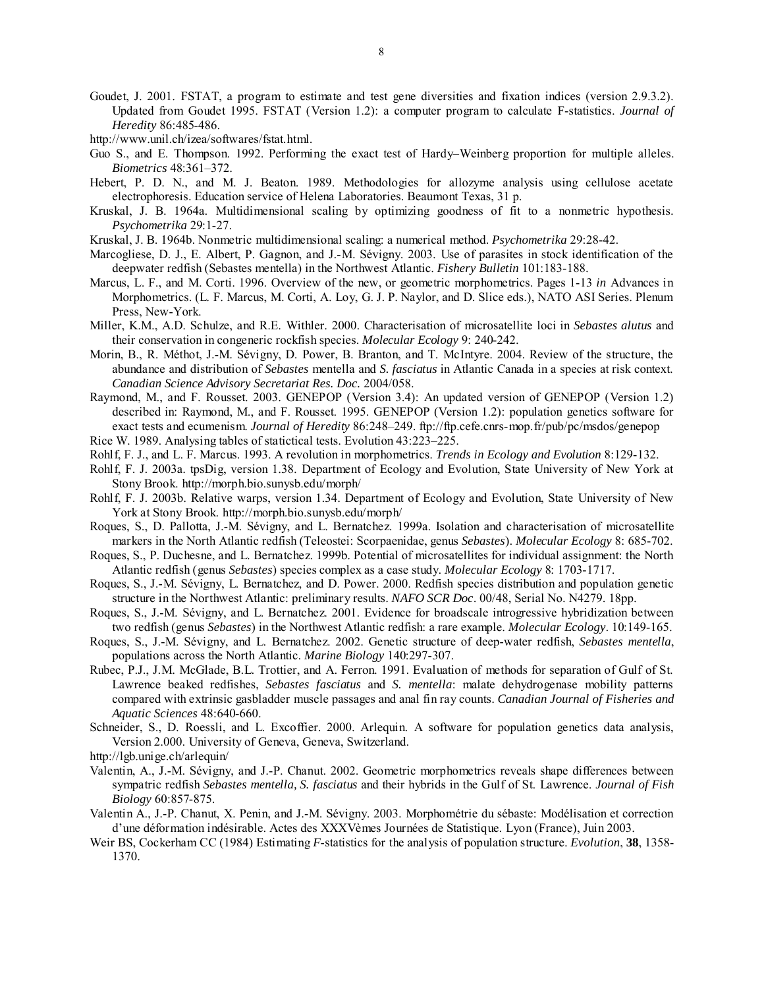- Goudet, J. 2001. FSTAT, a program to estimate and test gene diversities and fixation indices (version 2.9.3.2). Updated from Goudet 1995. FSTAT (Version 1.2): a computer program to calculate F-statistics. *Journal of Heredity* 86:485-486.
- http://www.unil.ch/izea/softwares/fstat.html.
- Guo S., and E. Thompson. 1992. Performing the exact test of Hardy–Weinberg proportion for multiple alleles. *Biometrics* 48:361–372.
- Hebert, P. D. N., and M. J. Beaton. 1989. Methodologies for allozyme analysis using cellulose acetate electrophoresis. Education service of Helena Laboratories. Beaumont Texas, 31 p.
- Kruskal, J. B. 1964a. Multidimensional scaling by optimizing goodness of fit to a nonmetric hypothesis. *Psychometrika* 29:1-27.
- Kruskal, J. B. 1964b. Nonmetric multidimensional scaling: a numerical method. *Psychometrika* 29:28-42.
- Marcogliese, D. J., E. Albert, P. Gagnon, and J.-M. Sévigny. 2003. Use of parasites in stock identification of the deepwater redfish (Sebastes mentella) in the Northwest Atlantic. *Fishery Bulletin* 101:183-188.
- Marcus, L. F., and M. Corti. 1996. Overview of the new, or geometric morphometrics. Pages 1-13 *in* Advances in Morphometrics. (L. F. Marcus, M. Corti, A. Loy, G. J. P. Naylor, and D. Slice eds.), NATO ASI Series. Plenum Press, New-York.
- Miller, K.M., A.D. Schulze, and R.E. Withler. 2000. Characterisation of microsatellite loci in *Sebastes alutus* and their conservation in congeneric rockfish species. *Molecular Ecology* 9: 240-242.
- Morin, B., R. Méthot, J.-M. Sévigny, D. Power, B. Branton, and T. McIntyre. 2004. Review of the structure, the abundance and distribution of *Sebastes* mentella and *S. fasciatus* in Atlantic Canada in a species at risk context. *Canadian Science Advisory Secretariat Res. Doc.* 2004/058.
- Raymond, M., and F. Rousset. 2003. GENEPOP (Version 3.4): An updated version of GENEPOP (Version 1.2) described in: Raymond, M., and F. Rousset. 1995. GENEPOP (Version 1.2): population genetics software for exact tests and ecumenism. *Journal of Heredity* 86:248–249. ftp://ftp.cefe.cnrs-mop.fr/pub/pc/msdos/genepop Rice W. 1989. Analysing tables of statictical tests. Evolution 43:223–225.
- Rohlf, F. J., and L. F. Marcus. 1993. A revolution in morphometrics. *Trends in Ecology and Evolution* 8:129-132.
- Rohlf, F. J. 2003a. tpsDig, version 1.38. Department of Ecology and Evolution, State University of New York at Stony Brook. http://morph.bio.sunysb.edu/morph/
- Rohlf, F. J. 2003b. Relative warps, version 1.34. Department of Ecology and Evolution, State University of New York at Stony Brook. http://morph.bio.sunysb.edu/morph/
- Roques, S., D. Pallotta, J.-M. Sévigny, and L. Bernatchez. 1999a. Isolation and characterisation of microsatellite markers in the North Atlantic redfish (Teleostei: Scorpaenidae, genus *Sebastes*). *Molecular Ecology* 8: 685-702.
- Roques, S., P. Duchesne, and L. Bernatchez. 1999b. Potential of microsatellites for individual assignment: the North Atlantic redfish (genus *Sebastes*) species complex as a case study. *Molecular Ecology* 8: 1703-1717.
- Roques, S., J.-M. Sévigny, L. Bernatchez, and D. Power. 2000. Redfish species distribution and population genetic structure in the Northwest Atlantic: preliminary results. *NAFO SCR Doc*. 00/48, Serial No. N4279. 18pp.
- Roques, S., J.-M. Sévigny, and L. Bernatchez. 2001. Evidence for broadscale introgressive hybridization between two redfish (genus *Sebastes*) in the Northwest Atlantic redfish: a rare example. *Molecular Ecology*. 10:149-165.
- Roques, S., J.-M. Sévigny, and L. Bernatchez. 2002. Genetic structure of deep-water redfish, *Sebastes mentella*, populations across the North Atlantic. *Marine Biology* 140:297-307.
- Rubec, P.J., J.M. McGlade, B.L. Trottier, and A. Ferron. 1991. Evaluation of methods for separation of Gulf of St. Lawrence beaked redfishes, *Sebastes fasciatus* and *S. mentella*: malate dehydrogenase mobility patterns compared with extrinsic gasbladder muscle passages and anal fin ray counts. *Canadian Journal of Fisheries and Aquatic Sciences* 48:640-660.
- Schneider, S., D. Roessli, and L. Excoffier. 2000. Arlequin. A software for population genetics data analysis, Version 2.000. University of Geneva, Geneva, Switzerland.
- http://lgb.unige.ch/arlequin/
- Valentin, A., J.-M. Sévigny, and J.-P. Chanut. 2002. Geometric morphometrics reveals shape differences between sympatric redfish *Sebastes mentella, S. fasciatus* and their hybrids in the Gulf of St. Lawrence. *Journal of Fish Biology* 60:857-875.
- Valentin A., J.-P. Chanut, X. Penin, and J.-M. Sévigny. 2003. Morphométrie du sébaste: Modélisation et correction d'une déformation indésirable. Actes des XXXVèmes Journées de Statistique. Lyon (France), Juin 2003.
- Weir BS, Cockerham CC (1984) Estimating *F*-statistics for the analysis of population structure. *Evolution*, **38**, 1358- 1370.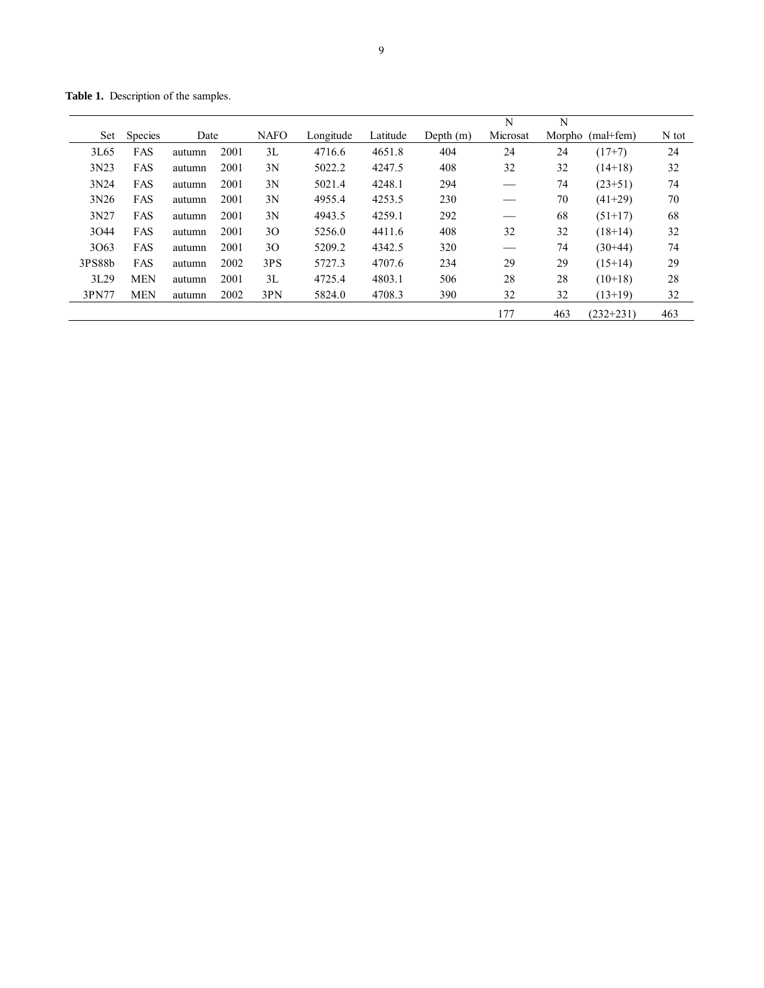**Table 1.** Description of the samples.

|        |                |        |      |             |           |          |             | N        | N   |                  |       |
|--------|----------------|--------|------|-------------|-----------|----------|-------------|----------|-----|------------------|-------|
| Set    | <b>Species</b> | Date   |      | <b>NAFO</b> | Longitude | Latitude | Depth $(m)$ | Microsat |     | Morpho (mal+fem) | N tot |
| 3L65   | FAS            | autumn | 2001 | 3L          | 4716.6    | 4651.8   | 404         | 24       | 24  | $(17+7)$         | 24    |
| 3N23   | FAS            | autumn | 2001 | 3N          | 5022.2    | 4247.5   | 408         | 32       | 32  | $(14+18)$        | 32    |
| 3N24   | FAS            | autumn | 2001 | 3N          | 5021.4    | 4248.1   | 294         |          | 74  | $(23+51)$        | 74    |
| 3N26   | FAS            | autumn | 2001 | 3N          | 4955.4    | 4253.5   | 230         |          | 70  | $(41+29)$        | 70    |
| 3N27   | FAS            | autumn | 2001 | 3N          | 4943.5    | 4259.1   | 292         |          | 68  | $(51+17)$        | 68    |
| 3044   | FAS            | autumn | 2001 | 30          | 5256.0    | 4411.6   | 408         | 32       | 32  | $(18+14)$        | 32    |
| 3063   | FAS            | autumn | 2001 | 30          | 5209.2    | 4342.5   | 320         |          | 74  | $(30+44)$        | 74    |
| 3PS88b | FAS            | autumn | 2002 | 3PS         | 5727.3    | 4707.6   | 234         | 29       | 29  | $(15+14)$        | 29    |
| 3L29   | <b>MEN</b>     | autumn | 2001 | 3L          | 4725.4    | 4803.1   | 506         | 28       | 28  | $(10+18)$        | 28    |
| 3PN77  | <b>MEN</b>     | autumn | 2002 | 3PN         | 5824.0    | 4708.3   | 390         | 32       | 32  | $(13+19)$        | 32    |
|        |                |        |      |             |           |          |             | 177      | 463 | $(232+231)$      | 463   |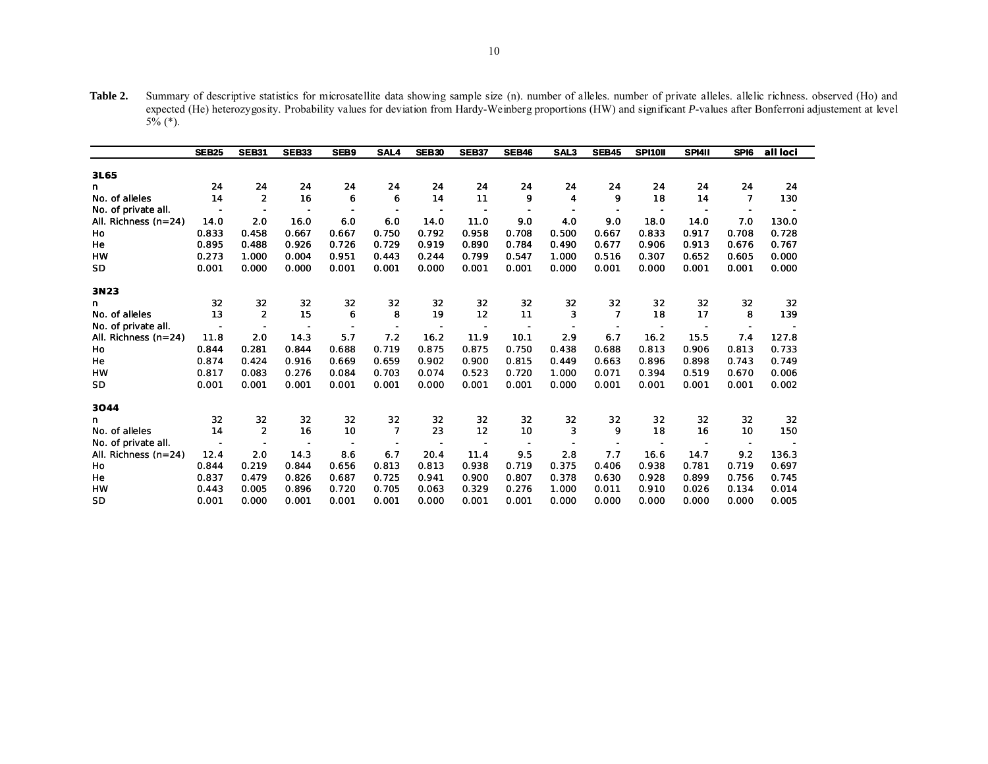**Table 2.** Summary of descriptive statistics for microsatellite data showing sample size (n). number of alleles. number of private alleles. allelic richness. observed (Ho) and expected (He) heterozygosity. Probability values for deviation from Hardy-Weinberg proportions (HW) and significant *P*-values after Bonferroni adjustement at level 5% (\*).

|                        | <b>SEB25</b>             | <b>SEB31</b>             | <b>SEB33</b>             | SEB9                     | SAL4           | <b>SEB30</b>             | <b>SEB37</b> | <b>SEB46</b> | SAL <sub>3</sub> | <b>SEB45</b>   | SPI10II | SPI4II | SPI6  | all loci |
|------------------------|--------------------------|--------------------------|--------------------------|--------------------------|----------------|--------------------------|--------------|--------------|------------------|----------------|---------|--------|-------|----------|
|                        |                          |                          |                          |                          |                |                          |              |              |                  |                |         |        |       |          |
| 3L65                   |                          |                          |                          |                          |                |                          |              |              |                  |                |         |        |       |          |
| n                      | 24                       | 24                       | 24                       | 24                       | 24             | 24                       | 24           | 24           | 24               | 24             | 24      | 24     | 24    | 24       |
| No. of alleles         | 14                       | $\overline{2}$           | 16                       | 6                        | 6              | 14                       | 11           | 9            | $\boldsymbol{4}$ | 9              | 18      | 14     | 7     | 130      |
| No. of private all.    | $\overline{\phantom{0}}$ | $\overline{\phantom{a}}$ | $\overline{\phantom{0}}$ | $\overline{\phantom{0}}$ |                | $\overline{\phantom{a}}$ |              |              |                  |                |         |        |       |          |
| All. Richness $(n=24)$ | 14.0                     | 2.0                      | 16.0                     | 6.0                      | 6.0            | 14.0                     | 11.0         | 9.0          | 4.0              | 9.0            | 18.0    | 14.0   | 7.0   | 130.0    |
| Ho                     | 0.833                    | 0.458                    | 0.667                    | 0.667                    | 0.750          | 0.792                    | 0.958        | 0.708        | 0.500            | 0.667          | 0.833   | 0.917  | 0.708 | 0.728    |
| He                     | 0.895                    | 0.488                    | 0.926                    | 0.726                    | 0.729          | 0.919                    | 0.890        | 0.784        | 0.490            | 0.677          | 0.906   | 0.913  | 0.676 | 0.767    |
| <b>HW</b>              | 0.273                    | 1.000                    | 0.004                    | 0.951                    | 0.443          | 0.244                    | 0.799        | 0.547        | 1.000            | 0.516          | 0.307   | 0.652  | 0.605 | 0.000    |
| SD                     | 0.001                    | 0.000                    | 0.000                    | 0.001                    | 0.001          | 0.000                    | 0.001        | 0.001        | 0.000            | 0.001          | 0.000   | 0.001  | 0.001 | 0.000    |
| 3N23                   |                          |                          |                          |                          |                |                          |              |              |                  |                |         |        |       |          |
| n                      | 32                       | 32                       | 32                       | 32                       | 32             | 32                       | 32           | 32           | 32               | 32             | 32      | 32     | 32    | 32       |
| No. of alleles         | 13                       | $\overline{2}$           | 15                       | 6                        | 8              | 19                       | 12           | 11           | 3                | $\overline{7}$ | 18      | 17     | 8     | 139      |
| No. of private all.    | $\overline{\phantom{a}}$ | $\overline{\phantom{a}}$ |                          |                          | $\overline{a}$ | $\overline{\phantom{a}}$ |              |              |                  |                |         |        |       |          |
| All. Richness $(n=24)$ | 11.8                     | 2.0                      | 14.3                     | 5.7                      | 7.2            | 16.2                     | 11.9         | 10.1         | 2.9              | 6.7            | 16.2    | 15.5   | 7.4   | 127.8    |
| Ho                     | 0.844                    | 0.281                    | 0.844                    | 0.688                    | 0.719          | 0.875                    | 0.875        | 0.750        | 0.438            | 0.688          | 0.813   | 0.906  | 0.813 | 0.733    |
| He                     | 0.874                    | 0.424                    | 0.916                    | 0.669                    | 0.659          | 0.902                    | 0.900        | 0.815        | 0.449            | 0.663          | 0.896   | 0.898  | 0.743 | 0.749    |
| <b>HW</b>              | 0.817                    | 0.083                    | 0.276                    | 0.084                    | 0.703          | 0.074                    | 0.523        | 0.720        | 1.000            | 0.071          | 0.394   | 0.519  | 0.670 | 0.006    |
| <b>SD</b>              | 0.001                    | 0.001                    | 0.001                    | 0.001                    | 0.001          | 0.000                    | 0.001        | 0.001        | 0.000            | 0.001          | 0.001   | 0.001  | 0.001 | 0.002    |
| 3044                   |                          |                          |                          |                          |                |                          |              |              |                  |                |         |        |       |          |
| n                      | 32                       | 32                       | 32                       | 32                       | 32             | 32                       | 32           | 32           | 32               | 32             | 32      | 32     | 32    | 32       |
| No. of alleles         | 14                       | $\overline{2}$           | 16                       | 10                       | $\overline{7}$ | 23                       | 12           | 10           | 3                | 9              | 18      | 16     | 10    | 150      |
| No. of private all.    |                          |                          |                          |                          |                |                          |              |              |                  |                |         |        |       |          |
| All. Richness $(n=24)$ | 12.4                     | 2.0                      | 14.3                     | 8.6                      | 6.7            | 20.4                     | 11.4         | 9.5          | 2.8              | 7.7            | 16.6    | 14.7   | 9.2   | 136.3    |
| Ho                     | 0.844                    | 0.219                    | 0.844                    | 0.656                    | 0.813          | 0.813                    | 0.938        | 0.719        | 0.375            | 0.406          | 0.938   | 0.781  | 0.719 | 0.697    |
| He                     | 0.837                    | 0.479                    | 0.826                    | 0.687                    | 0.725          | 0.941                    | 0.900        | 0.807        | 0.378            | 0.630          | 0.928   | 0.899  | 0.756 | 0.745    |
| <b>HW</b>              | 0.443                    | 0.005                    | 0.896                    | 0.720                    | 0.705          | 0.063                    | 0.329        | 0.276        | 1.000            | 0.011          | 0.910   | 0.026  | 0.134 | 0.014    |
| <b>SD</b>              | 0.001                    | 0.000                    | 0.001                    | 0.001                    | 0.001          | 0.000                    | 0.001        | 0.001        | 0.000            | 0.000          | 0.000   | 0.000  | 0.000 | 0.005    |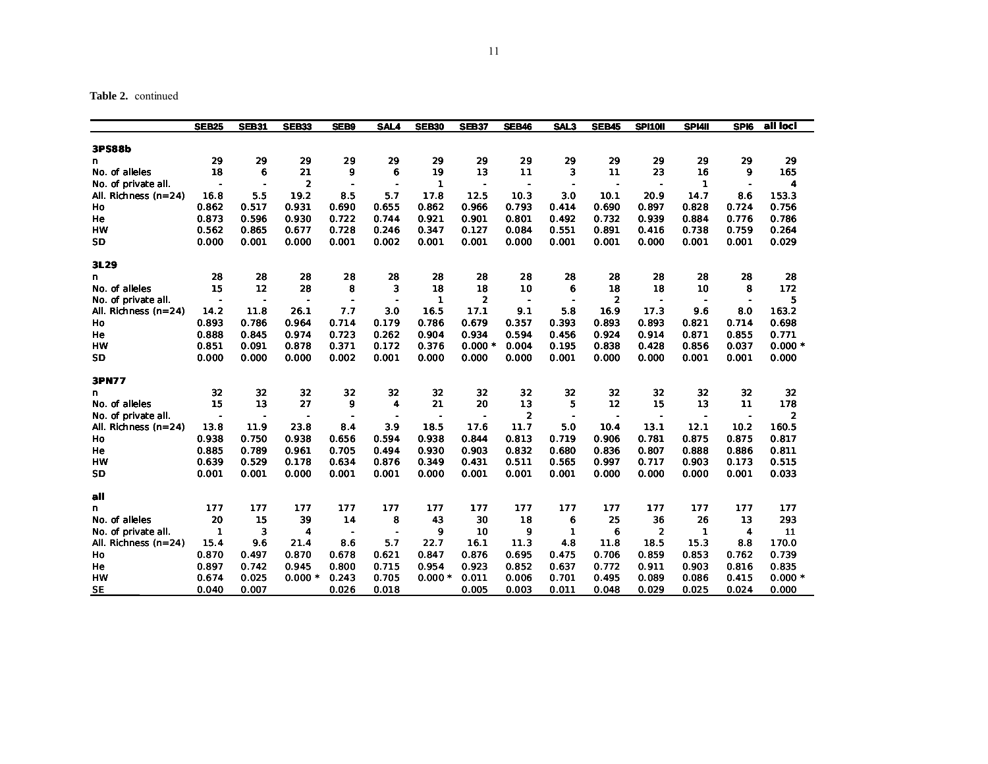**Table 2.** continued

|                      | <b>SEB25</b>             | <b>SEB31</b>   | <b>SEB33</b>             | <b>SEB9</b>              | <b>SAL4</b>              | <b>SEB30</b>   | <b>SEB37</b>             | <b>SEB46</b>             | SAL3         | <b>SEB45</b>             | <b>SP110II</b> | <b>SPI4II</b>            | SPI <sub>6</sub> | all loci                |
|----------------------|--------------------------|----------------|--------------------------|--------------------------|--------------------------|----------------|--------------------------|--------------------------|--------------|--------------------------|----------------|--------------------------|------------------|-------------------------|
| 3PS88b               |                          |                |                          |                          |                          |                |                          |                          |              |                          |                |                          |                  |                         |
| n                    | 29                       | 29             | 29                       | 29                       | 29                       | 29             | 29                       | 29                       | 29           | 29                       | 29             | 29                       | 29               | 29                      |
| No. of alleles       | 18                       | 6              | 21                       | 9                        | 6                        | 19             | 13                       | 11                       | 3            | 11                       | 23             | 16                       | 9                | 165                     |
| No. of private all.  | $\blacksquare$           | $\blacksquare$ | $\overline{2}$           |                          | $\overline{\phantom{a}}$ | 1              | $\blacksquare$           |                          |              |                          |                | 1                        | $\blacksquare$   | 4                       |
| All. Richness (n=24) | 16.8                     | 5.5            | 19.2                     | 8.5                      | 5.7                      | 17.8           | 12.5                     | 10.3                     | 30           | 10.1                     | 20.9           | 14.7                     | 8.6              | 153.3                   |
| Ho                   | 0.862                    | 0.517          | 0.931                    | 0.690                    | 0.655                    | 0.862          | 0.966                    | 0.793                    | 0.414        | 0.690                    | 0.897          | 0.828                    | 0.724            | 0.756                   |
| He                   | 0.873                    | 0.596          | 0.930                    | 0.722                    | 0.744                    | 0.921          | 0.901                    | 0.801                    | 0.492        | 0.732                    | 0.939          | 0.884                    | 0.776            | 0.786                   |
| <b>HW</b>            | 0.562                    | 0.865          | 0.677                    | 0.728                    | 0.246                    | 0.347          | 0.127                    | 0.084                    | 0.551        | 0.891                    | 0.416          | 0.738                    | 0.759            | 0.264                   |
| SD                   | 0.000                    | 0.001          | 0.000                    | 0.001                    | 0.002                    | 0.001          | 0.001                    | 0.000                    | 0.001        | 0.001                    | 0.000          | 0.001                    | 0.001            | 0.029                   |
| 3L29                 |                          |                |                          |                          |                          |                |                          |                          |              |                          |                |                          |                  |                         |
| n                    | 28                       | 28             | 28                       | 28                       | 28                       | 28             | 28                       | 28                       | 28           | 28                       | 28             | 28                       | 28               | 28                      |
| No. of alleles       | 15                       | 12             | 28                       | 8                        | 3                        | 18             | 18                       | 10                       | 6            | 18                       | 18             | 10                       | 8                | 172                     |
| No. of private all.  | $\qquad \qquad$          | $\blacksquare$ | $\overline{\phantom{0}}$ | $\overline{\phantom{a}}$ | ÷,                       | 1              | $\overline{2}$           | $\overline{\phantom{0}}$ |              | $\overline{2}$           |                | $\overline{\phantom{a}}$ |                  | 5                       |
| All. Richness (n=24) | 14.2                     | 11.8           | 26.1                     | 7.7                      | 3.0                      | 16.5           | 17.1                     | 9.1                      | 5.8          | 16.9                     | 17.3           | 9.6                      | 8.0              | 163.2                   |
| Ho                   | 0.893                    | 0.786          | 0.964                    | 0.714                    | 0.179                    | 0.786          | 0.679                    | 0.357                    | 0.393        | 0.893                    | 0.893          | 0.821                    | 0.714            | 0.698                   |
| He                   | 0.888                    | 0.845          | 0.974                    | 0.723                    | 0.262                    | 0.904          | 0.934                    | 0.594                    | 0.456        | 0.924                    | 0.914          | 0.871                    | 0.855            | 0.771                   |
| <b>HW</b>            | 0.851                    | 0.091          | 0.878                    | 0.371                    | 0.172                    | 0.376          | $0.000 *$                | 0.004                    | 0.195        | 0.838                    | 0.428          | 0.856                    | 0.037            | $0.000 *$               |
| <b>SD</b>            | 0.000                    | 0.000          | 0.000                    | 0.002                    | 0.001                    | 0.000          | 0.000                    | 0.000                    | 0.001        | 0.000                    | 0.000          | 0.001                    | 0.001            | 0.000                   |
| 3PN77                |                          |                |                          |                          |                          |                |                          |                          |              |                          |                |                          |                  |                         |
| n                    | 32                       | 32             | 32                       | 32                       | 32                       | 32             | 32                       | 32                       | 32           | 32                       | 32             | 32                       | 32               | 32                      |
| No. of alleles       | 15                       | 13             | 27                       | 9                        | 4                        | 21             | 20                       | 13                       | 5            | 12                       | 15             | 13                       | 11               | 178                     |
| No. of private all.  | $\overline{\phantom{a}}$ | $\blacksquare$ | $\overline{\phantom{0}}$ | $\overline{\phantom{a}}$ | $\overline{\phantom{a}}$ | $\blacksquare$ | $\overline{\phantom{a}}$ | $\overline{2}$           |              | $\overline{\phantom{0}}$ | $\blacksquare$ | $\overline{\phantom{a}}$ | $\blacksquare$   | $\overline{\mathbf{2}}$ |
| All. Richness (n=24) | 13.8                     | 11.9           | 23.8                     | 8.4                      | 3.9                      | 18.5           | 17.6                     | 11.7                     | 50           | 10.4                     | 13.1           | 12.1                     | 10.2             | 160.5                   |
| Ho                   | 0.938                    | 0.750          | 0.938                    | 0.656                    | 0.594                    | 0.938          | 0.844                    | 0.813                    | 0.719        | 0.906                    | 0.781          | 0.875                    | 0.875            | 0.817                   |
| He                   | 0.885                    | 0.789          | 0.961                    | 0.705                    | 0.494                    | 0.930          | 0.903                    | 0.832                    | 0.680        | 0.836                    | 0.807          | 0.888                    | 0.886            | 0.811                   |
| HW                   | 0.639                    | 0.529          | 0.178                    | 0.634                    | 0.876                    | 0.349          | 0.431                    | 0.511                    | 0.565        | 0.997                    | 0.717          | 0.903                    | 0.173            | 0.515                   |
| <b>SD</b>            | 0.001                    | 0.001          | 0.000                    | 0.001                    | 0.001                    | 0.000          | 0.001                    | 0.001                    | 0.001        | 0.000                    | 0.000          | 0.000                    | 0.001            | 0.033                   |
| all                  |                          |                |                          |                          |                          |                |                          |                          |              |                          |                |                          |                  |                         |
| n                    | 177                      | 177            | 177                      | 177                      | 177                      | 177            | 177                      | 177                      | 177          | 177                      | 177            | 177                      | 177              | 177                     |
| No. of alleles       | 20                       | 15             | 39                       | 14                       | 8                        | 43             | 30                       | 18                       | 6            | 25                       | 36             | 26                       | 13               | 293                     |
| No. of private all.  | 1                        | 3              | 4                        | $\blacksquare$           | $\overline{\phantom{a}}$ | 9              | 10                       | 9                        | $\mathbf{1}$ | 6                        | 2              | 1                        | 4                | 11                      |
| All. Richness (n=24) | 15.4                     | 9.6            | 21.4                     | 8.6                      | 5.7                      | 22.7           | 16.1                     | 11.3                     | 4.8          | 11.8                     | 18.5           | 15.3                     | 8.8              | 170.0                   |
| Ho                   | 0.870                    | 0.497          | 0.870                    | 0.678                    | 0.621                    | 0.847          | 0.876                    | 0.695                    | 0.475        | 0.706                    | 0.859          | 0.853                    | 0.762            | 0.739                   |
| He                   | 0.897                    | 0.742          | 0.945                    | 0.800                    | 0.715                    | 0.954          | 0.923                    | 0.852                    | 0.637        | 0.772                    | 0.911          | 0.903                    | 0.816            | 0.835                   |
| <b>HW</b>            | 0.674                    | 0.025          | $0.000*$                 | 0.243                    | 0.705                    | $0.000*$       | 0.011                    | 0.006                    | 0.701        | 0.495                    | 0.089          | 0.086                    | 0.415            | $0.000 *$               |
| <b>SE</b>            | 0.040                    | 0.007          |                          | 0.026                    | 0.018                    |                | 0.005                    | 0.003                    | 0.011        | 0.048                    | 0.029          | 0.025                    | 0.024            | 0.000                   |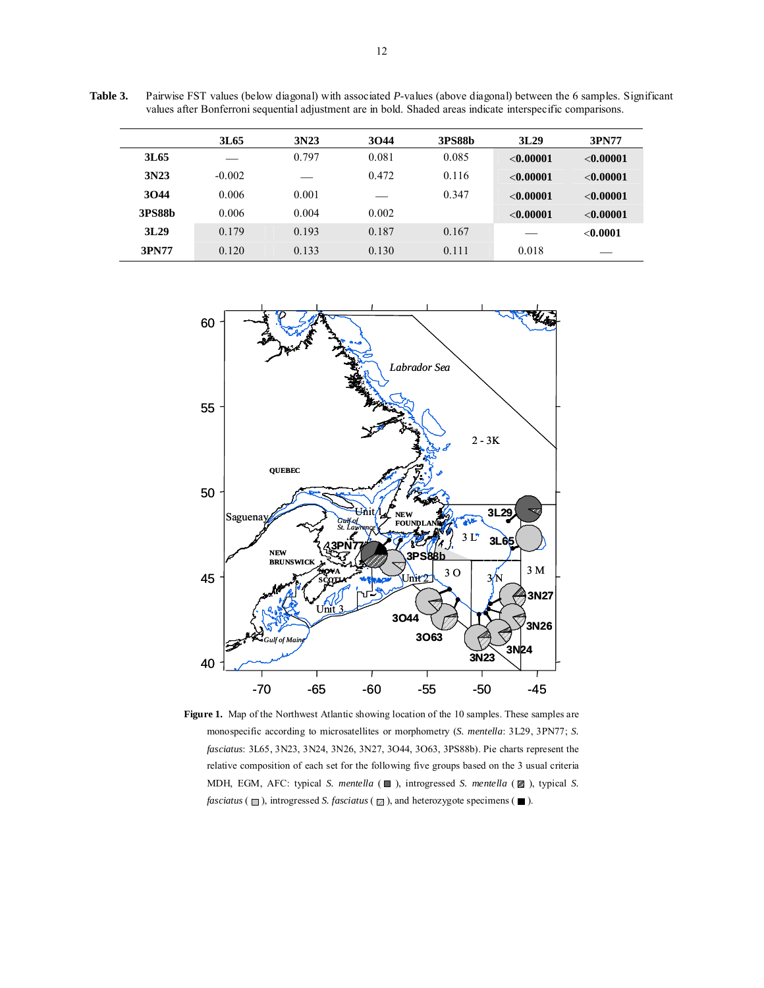| values after Bonferroni sequential adjustment are in bold. Shaded areas indicate interspecific comparisons. |          |       |       |               |              |             |  |  |  |  |  |
|-------------------------------------------------------------------------------------------------------------|----------|-------|-------|---------------|--------------|-------------|--|--|--|--|--|
|                                                                                                             | 3L65     | 3N23  | 3044  | <b>3PS88b</b> | 3L29         | 3PN77       |  |  |  |  |  |
| 3L65                                                                                                        |          | 0.797 | 0.081 | 0.085         | < 0.00001    | $<$ 0.00001 |  |  |  |  |  |
| 3N23                                                                                                        | $-0.002$ |       | 0.472 | 0.116         | < 0.00001    | < 0.00001   |  |  |  |  |  |
| 3044                                                                                                        | 0.006    | 0.001 |       | 0.347         | ${<}0.00001$ | < 0.00001   |  |  |  |  |  |
| <b>3PS88b</b>                                                                                               | 0.006    | 0.004 | 0.002 |               | ${<}0.00001$ | < 0.00001   |  |  |  |  |  |
| 3L29                                                                                                        | 0.179    | 0.193 | 0.187 | 0.167         |              | < 0.0001    |  |  |  |  |  |
| 3PN77                                                                                                       | 0.120    | 0.133 | 0.130 | 0.111         | 0.018        |             |  |  |  |  |  |



**Figure 1.** Map of the Northwest Atlantic showing location of the 10 samples. These samples are monospecific according to microsatellites or morphometry (*S. mentella*: 3L29, 3PN77; *S. fasciatus*: 3L65, 3N23, 3N24, 3N26, 3N27, 3O44, 3O63, 3PS88b). Pie charts represent the relative composition of each set for the following five groups based on the 3 usual criteria MDH, EGM, AFC: typical *S. mentella* ( $\Box$ ), introgressed *S. mentella* ( $\Box$ ), typical *S. fasciatus* ( $\Box$ ), introgressed *S. fasciatus* ( $\Box$ ), and heterozygote specimens ( $\Box$ ).

**Table 3.** Pairwise FST values (below diagonal) with associated *P*-values (above diagonal) between the 6 samples. Significant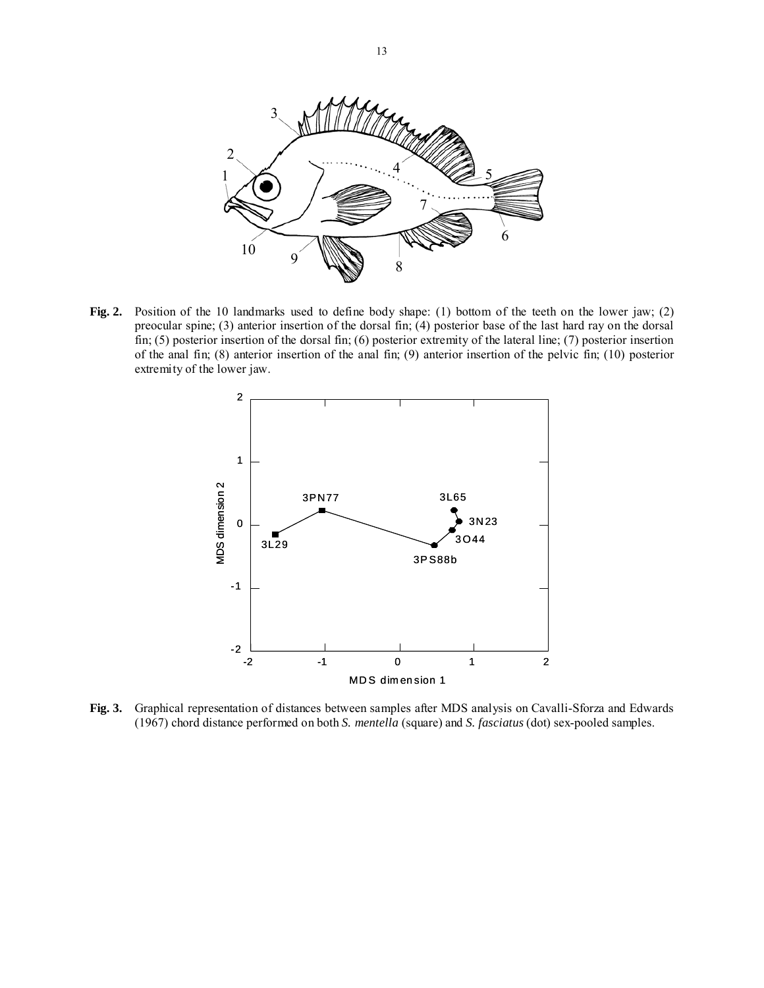

**Fig. 2.** Position of the 10 landmarks used to define body shape: (1) bottom of the teeth on the lower jaw; (2) preocular spine; (3) anterior insertion of the dorsal fin; (4) posterior base of the last hard ray on the dorsal fin; (5) posterior insertion of the dorsal fin; (6) posterior extremity of the lateral line; (7) posterior insertion of the anal fin; (8) anterior insertion of the anal fin; (9) anterior insertion of the pelvic fin; (10) posterior extremity of the lower jaw.



**Fig. 3.** Graphical representation of distances between samples after MDS analysis on Cavalli-Sforza and Edwards (1967) chord distance performed on both *S. mentella* (square) and *S. fasciatus* (dot) sex-pooled samples.